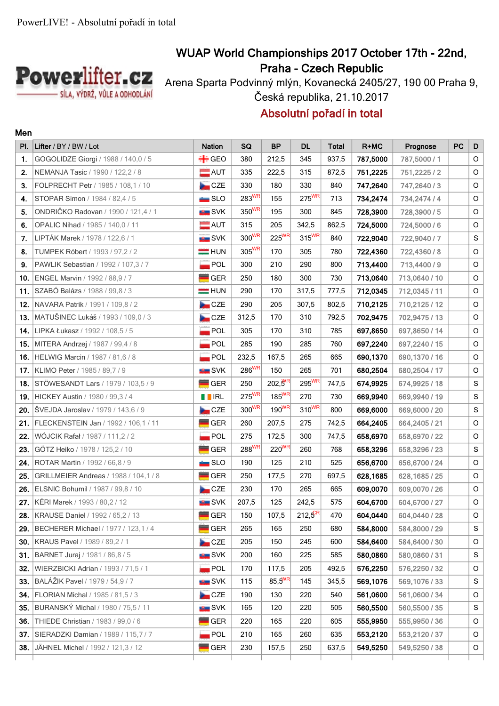

**Men**

## **WUAP World Championships 2017 October 17th - 22nd, Praha - Czech Republic**

Arena Sparta Podvinný mlýn, Kovanecká 2405/27, 190 00 Praha 9, Česká republika, 21.10.2017

## **Absolutní pořadí in total**

| PI. | Lifter / BY / BW / Lot                 | <b>Nation</b>      | SQ                  | <b>BP</b>           | <b>DL</b>    | <b>Total</b> | R+MC     | Prognose      | <b>PC</b> | D             |
|-----|----------------------------------------|--------------------|---------------------|---------------------|--------------|--------------|----------|---------------|-----------|---------------|
| 1.  | GOGOLIDZE Giorgi / 1988 / 140,0 / 5    | $\div$ GEO         | 380                 | 212,5               | 345          | 937,5        | 787,5000 | 787,5000 / 1  |           | O             |
| 2.  | NEMANJA Tasic / 1990 / 122,2 / 8       | $\blacksquare$ AUT | 335                 | 222,5               | 315          | 872,5        | 751,2225 | 751,2225/2    |           | O             |
| 3.  | FOLPRECHT Petr / 1985 / 108.1 / 10     | CZE                | 330                 | 180                 | 330          | 840          | 747,2640 | 747.2640/3    |           | O             |
| 4.  | STOPAR Simon / 1984 / 82,4 / 5         | $\blacksquare$ SLO | 283WR               | 155                 | $275^{WR}$   | 713          | 734,2474 | 734,2474 / 4  |           | $\circ$       |
| 5.  | ONDRIČKO Radovan / 1990 / 121,4 / 1    | <b>SVK</b>         | 350 <sup>WR</sup>   | 195                 | 300          | 845          | 728,3900 | 728,3900/5    |           | O             |
| 6.  | OPALIC Nihad / 1985 / 140,0 / 11       | $\blacksquare$ AUT | 315                 | 205                 | 342,5        | 862,5        | 724,5000 | 724,5000/6    |           | O             |
| 7.  | LIPTÁK Marek / 1978 / 122,6 / 1        | <b>SVK</b>         | 300 <sup>WR</sup>   | $225^{\text{WR}}$   | $315^{WR}$   | 840          | 722,9040 | 722,9040/7    |           | ${\mathsf S}$ |
| 8.  | TUMPEK Róbert / 1993 / 97,2 / 2        | $=$ HUN            | 305WR               | 170                 | 305          | 780          | 722,4360 | 722,4360/8    |           | O             |
| 9.  | PAWLIK Sebastian / 1992 / 107,3 / 7    | $\blacksquare$ POL | 300                 | 210                 | 290          | 800          | 713,4400 | 713,4400/9    |           | O             |
| 10. | ENGEL Marvin / 1992 / 88,9 / 7         | $\blacksquare$ GER | 250                 | 180                 | 300          | 730          | 713,0640 | 713,0640 / 10 |           | O             |
| 11. | SZABÓ Balázs / 1988 / 99,8 / 3         | $=$ HUN            | 290                 | 170                 | 317,5        | 777,5        | 712,0345 | 712,0345 / 11 |           | O             |
| 12. | NAVARA Patrik / 1991 / 109.8 / 2       | CZE                | 290                 | 205                 | 307,5        | 802,5        | 710,2125 | 710,2125 / 12 |           | O             |
| 13. | MATUŠINEC Lukáš / 1993 / 109,0 / 3     | <b>De</b> CZE      | 312,5               | 170                 | 310          | 792,5        | 702,9475 | 702,9475 / 13 |           | O             |
| 14. | LIPKA Łukasz / 1992 / 108.5 / 5        | $\blacksquare$ POL | 305                 | 170                 | 310          | 785          | 697,8650 | 697,8650 / 14 |           | O             |
| 15. | MITERA Andrzej / 1987 / 99,4 / 8       | POL                | 285                 | 190                 | 285          | 760          | 697,2240 | 697,2240 / 15 |           | $\mathsf O$   |
| 16. | HELWIG Marcin / 1987 / 81,6 / 8        | POL                | 232,5               | 167,5               | 265          | 665          | 690,1370 | 690,1370 / 16 |           | O             |
| 17. | KLIMO Peter / 1985 / 89,7 / 9          | <b>No SVK</b>      | 286WR               | 150                 | 265          | 701          | 680,2504 | 680,2504 / 17 |           | O             |
| 18. | STÖWESANDT Lars / 1979 / 103,5 / 9     | $\blacksquare$ GER | 250                 | $202,5^{\text{WR}}$ | 295WR        | 747,5        | 674,9925 | 674,9925 / 18 |           | $\mathbf S$   |
| 19. | HICKEY Austin / 1980 / 99,3 / 4        | <b>THEIRL</b>      | $275$ <sup>WR</sup> | $185^{WR}$          | 270          | 730          | 669,9940 | 669,9940 / 19 |           | ${\mathsf S}$ |
| 20. | ŠVEJDA Jaroslav / 1979 / 143,6 / 9     | CZE                | 300WR               | $190^{WR}$          | $310^{WR}$   | 800          | 669,6000 | 669,6000 / 20 |           | $\mathbf S$   |
| 21. | FLECKENSTEIN Jan / 1992 / 106,1 / 11   | GER                | 260                 | 207,5               | 275          | 742,5        | 664,2405 | 664,2405 / 21 |           | O             |
| 22. | WÓJCIK Rafał / 1987 / 111, 2 / 2       | <b>POL</b>         | 275                 | 172,5               | 300          | 747,5        | 658,6970 | 658,6970 / 22 |           | O             |
| 23. | GÖTZ Heiko / 1978 / 125,2 / 10         | <b>GER</b>         | 288 <sup>WR</sup>   | $220^{WR}$          | 260          | 768          | 658,3296 | 658,3296 / 23 |           | ${\mathsf S}$ |
| 24. | ROTAR Martin / 1992 / 66,8 / 9         | $\blacksquare$ SLO | 190                 | 125                 | 210          | 525          | 656,6700 | 656,6700 / 24 |           | O             |
| 25. | GRILLMEIER Andreas / 1988 / 104, 1 / 8 | GER                | 250                 | 177,5               | 270          | 697,5        | 628,1685 | 628,1685 / 25 |           | O             |
| 26. | ELSNIC Bohumil / 1987 / 99,8 / 10      | CZE                | 230                 | 170                 | 265          | 665          | 609,0070 | 609,0070 / 26 |           | O             |
| 27. | KÉRI Marek / 1993 / 80,2 / 12          | SVK                | 207,5               | 125                 | 242,5        | 575          | 604,6700 | 604,6700 / 27 |           | $\mathsf O$   |
| 28. | KRAUSE Daniel / 1992 / 65,2 / 13       | $\blacksquare$ GER | 150                 | 107,5               | $212,5^{ER}$ | 470          | 604,0440 | 604,0440 / 28 |           | $\circ$       |
| 29. | BECHERER Michael / 1977 / 123,1 / 4    | ${\tt GER}$        | 265                 | 165                 | 250          | 680          | 584,8000 | 584,8000 / 29 |           | S             |
| 30. | KRAUS Pavel / 1989 / 89.2 / 1          | CZE                | 205                 | 150                 | 245          | 600          | 584,6400 | 584.6400 / 30 |           | O             |
| 31. | BARNET Juraj / 1981 / 86,8 / 5         | <b>SVK</b>         | 200                 | 160                 | 225          | 585          | 580,0860 | 580,0860 / 31 |           | ${\mathsf S}$ |
| 32. | WIERZBICKI Adrian / 1993 / 71,5 / 1    | $\blacksquare$ POL | 170                 | 117,5               | 205          | 492,5        | 576,2250 | 576,2250 / 32 |           | O             |
| 33. | BALÁŽIK Pavel / 1979 / 54,9 / 7        | <b>SVK</b>         | 115                 | $85,5^{WR}$         | 145          | 345,5        | 569,1076 | 569,1076 / 33 |           | S             |
| 34. | FLORIAN Michal / 1985 / 81.5 / 3       | CZE                | 190                 | 130                 | 220          | 540          | 561,0600 | 561,0600 / 34 |           | O             |
| 35. | BURANSKÝ Michal / 1980 / 75,5 / 11     | <b>SVK</b>         | 165                 | 120                 | 220          | 505          | 560,5500 | 560,5500 / 35 |           | S             |
| 36. | THIEDE Christian / 1983 / 99,0 / 6     | $\blacksquare$ GER | 220                 | 165                 | 220          | 605          | 555,9950 | 555,9950 / 36 |           | O             |
| 37. | SIERADZKI Damian / 1989 / 115,7 / 7    | POL                | 210                 | 165                 | 260          | 635          | 553,2120 | 553,2120 / 37 |           | O             |
| 38. | JÄHNEL Michel / 1992 / 121,3 / 12      | $\blacksquare$ GER | 230                 | 157,5               | 250          | 637,5        | 549,5250 | 549,5250 / 38 |           | O             |
|     |                                        |                    |                     |                     |              |              |          |               |           |               |